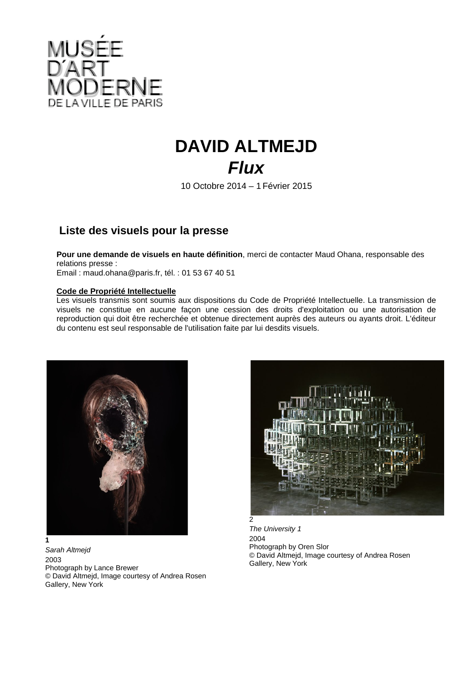

## **DAVID ALTMEJD** *Flux*

10 Octobre 2014 – 1 Février 2015

## **Liste des visuels pour la presse**

**Pour une demande de visuels en haute définition**, merci de contacter Maud Ohana, responsable des relations presse :

Email : maud.ohana@paris.fr, tél. : 01 53 67 40 51

## **Code de Propriété Intellectuelle**

Les visuels transmis sont soumis aux dispositions du Code de Propriété Intellectuelle. La transmission de visuels ne constitue en aucune façon une cession des droits d'exploitation ou une autorisation de reproduction qui doit être recherchée et obtenue directement auprès des auteurs ou ayants droit. L'éditeur du contenu est seul responsable de l'utilisation faite par lui desdits visuels.



*Sarah Altmejd*  2003 Photograph by Lance Brewer © David Altmejd, Image courtesy of Andrea Rosen Gallery, New York



*The University 1*  2004 Photograph by Oren Slor © David Altmejd, Image courtesy of Andrea Rosen Gallery, New York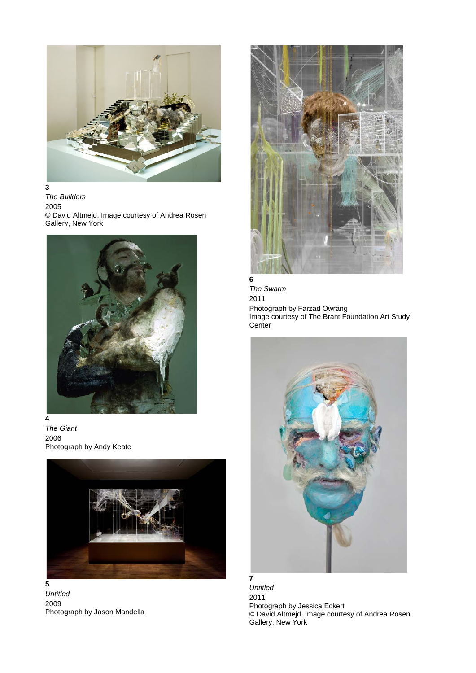

**3** *The Builders*  2005 © David Altmejd, Image courtesy of Andrea Rosen Gallery, New York



*The Giant*  2006 Photograph by Andy Keate



*Untitled*  2009 Photograph by Jason Mandella



*The Swarm*  2011 Photograph by Farzad Owrang Image courtesy of The Brant Foundation Art Study **Center** 



*Untitled*  2011 Photograph by Jessica Eckert © David Altmejd, Image courtesy of Andrea Rosen Gallery, New York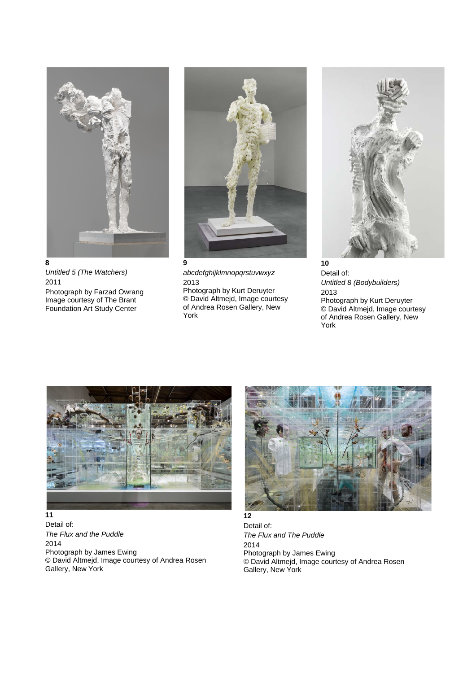

*Untitled 5 (The Watchers)*  2011 Photograph by Farzad Owrang Image courtesy of The Brant Foundation Art Study Center



*abcdefghijklmnopqrstuvwxyz*  2013 Photograph by Kurt Deruyter © David Altmejd, Image courtesy of Andrea Rosen Gallery, New York



**10** Detail of: *Untitled 8 (Bodybuilders)*  2013 Photograph by Kurt Deruyter © David Altmejd, Image courtesy of Andrea Rosen Gallery, New York



## **11**

Detail of: *The Flux and the Puddle* 2014 Photograph by James Ewing © David Altmejd, Image courtesy of Andrea Rosen Gallery, New York



Detail of: *The Flux and The Puddle* 2014 Photograph by James Ewing © David Altmejd, Image courtesy of Andrea Rosen Gallery, New York